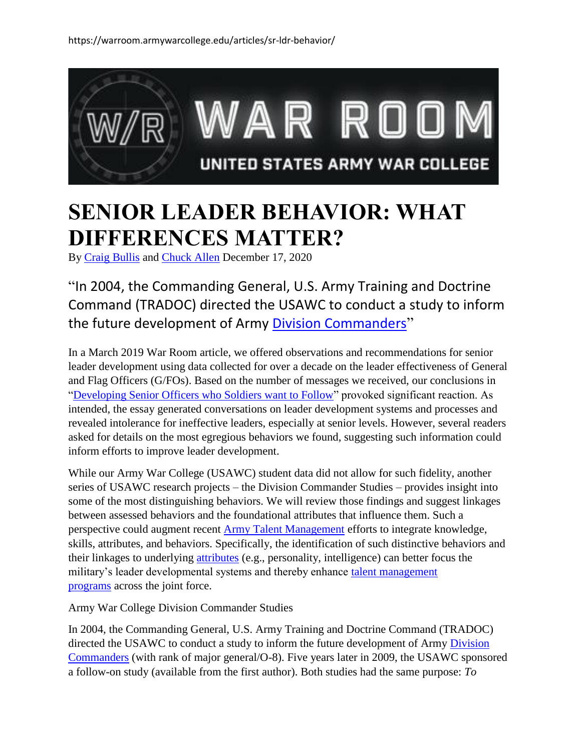

## **SENIOR LEADER BEHAVIOR: WHAT DIFFERENCES MATTER?**

By [Craig Bullis](https://warroom.armywarcollege.edu/author/craig-bullis/) and [Chuck Allen](https://warroom.armywarcollege.edu/author/chuck-allen/) December 17, 2020

"In 2004, the Commanding General, U.S. Army Training and Doctrine Command (TRADOC) directed the USAWC to conduct a study to inform the future development of Army [Division Commanders](https://apps.dtic.mil/dtic/tr/fulltext/u2/a435928.pdf)"

In a March 2019 War Room article, we offered observations and recommendations for senior leader development using data collected for over a decade on the leader effectiveness of General and Flag Officers (G/FOs). Based on the number of messages we received, our conclusions in ["Developing Senior Officers who Soldiers want to Follow"](https://warroom.armywarcollege.edu/articles/senior-officers-who-soldiers-follow/) provoked significant reaction. As intended, the essay generated conversations on leader development systems and processes and revealed intolerance for ineffective leaders, especially at senior levels. However, several readers asked for details on the most egregious behaviors we found, suggesting such information could inform efforts to improve leader development.

While our Army War College (USAWC) student data did not allow for such fidelity, another series of USAWC research projects – the Division Commander Studies – provides insight into some of the most distinguishing behaviors. We will review those findings and suggest linkages between assessed behaviors and the foundational attributes that influence them. Such a perspective could augment recent [Army Talent Management](https://talent.army.mil/wp-content/uploads/pdf_uploads/PUBLICATIONS/Army%20Talent%20Management%20Strategy%2C%20Force%202025%20and%20Beyond.pdf) efforts to integrate knowledge, skills, attributes, and behaviors. Specifically, the identification of such distinctive behaviors and their linkages to underlying [attributes](https://armypubs.army.mil/epubs/DR_pubs/DR_a/pdf/web/ARN20039_ADP%206-22%20C1%20FINAL%20WEB.pdf) (e.g., personality, intelligence) can better focus the military's leader developmental systems and thereby enhance [talent management](https://www.jcs.mil/Portals/36/Documents/Doctrine/education/jcs_pme_tm_vision.pdf?ver=2020-05-15-102429-817)  [programs](https://www.jcs.mil/Portals/36/Documents/Doctrine/education/jcs_pme_tm_vision.pdf?ver=2020-05-15-102429-817) across the joint force.

Army War College Division Commander Studies

In 2004, the Commanding General, U.S. Army Training and Doctrine Command (TRADOC) directed the USAWC to conduct a study to inform the future development of Army Division [Commanders](https://apps.dtic.mil/dtic/tr/fulltext/u2/a435928.pdf) (with rank of major general/O-8). Five years later in 2009, the USAWC sponsored a follow-on study (available from the first author). Both studies had the same purpose: *To*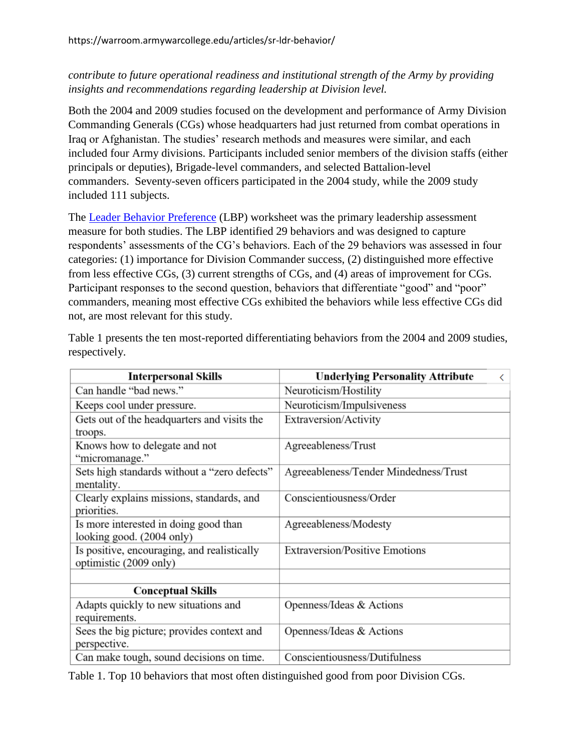## *contribute to future operational readiness and institutional strength of the Army by providing insights and recommendations regarding leadership at Division level.*

Both the 2004 and 2009 studies focused on the development and performance of Army Division Commanding Generals (CGs) whose headquarters had just returned from combat operations in Iraq or Afghanistan. The studies' research methods and measures were similar, and each included four Army divisions. Participants included senior members of the division staffs (either principals or deputies), Brigade-level commanders, and selected Battalion-level commanders. Seventy-seven officers participated in the 2004 study, while the 2009 study included 111 subjects.

The [Leader Behavior Preference](https://apps.dtic.mil/dtic/tr/fulltext/u2/a435928.pdf) (LBP) worksheet was the primary leadership assessment measure for both studies. The LBP identified 29 behaviors and was designed to capture respondents' assessments of the CG's behaviors. Each of the 29 behaviors was assessed in four categories: (1) importance for Division Commander success, (2) distinguished more effective from less effective CGs, (3) current strengths of CGs, and (4) areas of improvement for CGs. Participant responses to the second question, behaviors that differentiate "good" and "poor" commanders, meaning most effective CGs exhibited the behaviors while less effective CGs did not, are most relevant for this study.

| <b>Interpersonal Skills</b>                                           | <b>Underlying Personality Attribute</b><br>ぐ |
|-----------------------------------------------------------------------|----------------------------------------------|
| Can handle "bad news."                                                | Neuroticism/Hostility                        |
| Keeps cool under pressure.                                            | Neuroticism/Impulsiveness                    |
| Gets out of the headquarters and visits the<br>troops.                | Extraversion/Activity                        |
| Knows how to delegate and not<br>"micromanage."                       | Agreeableness/Trust                          |
| Sets high standards without a "zero defects"<br>mentality.            | Agreeableness/Tender Mindedness/Trust        |
| Clearly explains missions, standards, and<br>priorities.              | Conscientiousness/Order                      |
| Is more interested in doing good than<br>looking good. (2004 only)    | Agreeableness/Modesty                        |
| Is positive, encouraging, and realistically<br>optimistic (2009 only) | <b>Extraversion/Positive Emotions</b>        |
|                                                                       |                                              |
| <b>Conceptual Skills</b>                                              |                                              |
| Adapts quickly to new situations and<br>requirements.                 | Openness/Ideas & Actions                     |
| Sees the big picture; provides context and<br>perspective.            | Openness/Ideas & Actions                     |
| Can make tough, sound decisions on time.                              | Conscientiousness/Dutifulness                |

Table 1 presents the ten most-reported differentiating behaviors from the 2004 and 2009 studies, respectively.

Table 1. Top 10 behaviors that most often distinguished good from poor Division CGs.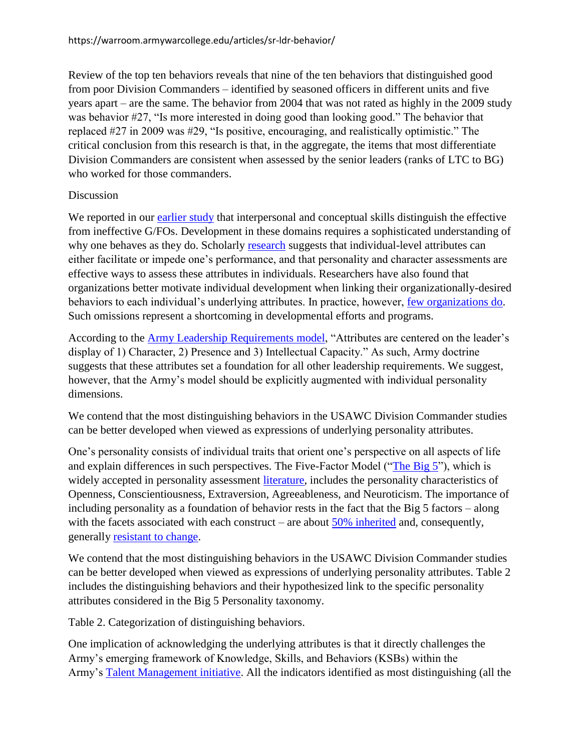Review of the top ten behaviors reveals that nine of the ten behaviors that distinguished good from poor Division Commanders – identified by seasoned officers in different units and five years apart – are the same. The behavior from 2004 that was not rated as highly in the 2009 study was behavior #27, "Is more interested in doing good than looking good." The behavior that replaced #27 in 2009 was #29, "Is positive, encouraging, and realistically optimistic." The critical conclusion from this research is that, in the aggregate, the items that most differentiate Division Commanders are consistent when assessed by the senior leaders (ranks of LTC to BG) who worked for those commanders.

## **Discussion**

We reported in our [earlier study](https://warroom.armywarcollege.edu/articles/senior-officers-who-soldiers-follow/) that interpersonal and conceptual skills distinguish the effective from ineffective G/FOs. Development in these domains requires a sophisticated understanding of why one behaves as they do. Scholarly [research](http://www.timothy-judge.com/documents/2013-31562-001.pdf) suggests that individual-level attributes can either facilitate or impede one's performance, and that personality and character assessments are effective ways to assess these attributes in individuals. Researchers have also found that organizations better motivate individual development when linking their organizationally-desired behaviors to each individual's underlying attributes. In practice, however, [few organizations do.](https://www.mdpi.com/2079-3200/6/4/49) Such omissions represent a shortcoming in developmental efforts and programs.

According to the [Army Leadership Requirements model,](https://armypubs.army.mil/epubs/DR_pubs/DR_a/pdf/web/ARN20039_ADP%206-22%20C1%20FINAL%20WEB.pdf) "Attributes are centered on the leader's display of 1) Character, 2) Presence and 3) Intellectual Capacity." As such, Army doctrine suggests that these attributes set a foundation for all other leadership requirements. We suggest, however, that the Army's model should be explicitly augmented with individual personality dimensions.

We contend that the most distinguishing behaviors in the USAWC Division Commander studies can be better developed when viewed as expressions of underlying personality attributes.

One's personality consists of individual traits that orient one's perspective on all aspects of life and explain differences in such perspectives. The Five-Factor Model (["The Big 5"](https://www.guilford.com/books/Personality-in-Adulthood/McCrae-Costa/9781593852603/reviews)), which is widely accepted in personality assessment [literature,](https://mentisglobal.com/wp-content/uploads/Hogan_Secure_Zone/6.%20Technical%20Manuals/1.%20Hogan%20Assessment%20Manuals/HPI_Technical%20Manual.pdf) includes the personality characteristics of Openness, Conscientiousness, Extraversion, Agreeableness, and Neuroticism. The importance of including personality as a foundation of behavior rests in the fact that the Big 5 factors – along with the facets associated with each construct – are about [50% inherited](https://www.routledge.com/Personality-and-the-Fate-of-Organizations/Hogan/p/book/9780805841435?utm_source=cjaffiliates&utm_medium=referral&cjevent=3c22647c3b0611eb8173011e0a240613) and, consequently, generally [resistant to change.](https://www.psychologytoday.com/us/blog/media-spotlight/201509/can-you-change-your-personality)

We contend that the most distinguishing behaviors in the USAWC Division Commander studies can be better developed when viewed as expressions of underlying personality attributes. Table 2 includes the distinguishing behaviors and their hypothesized link to the specific personality attributes considered in the Big 5 Personality taxonomy.

Table 2. Categorization of distinguishing behaviors.

One implication of acknowledging the underlying attributes is that it directly challenges the Army's emerging framework of Knowledge, Skills, and Behaviors (KSBs) within the Army's [Talent Management initiative.](https://talent.army.mil/) All the indicators identified as most distinguishing (all the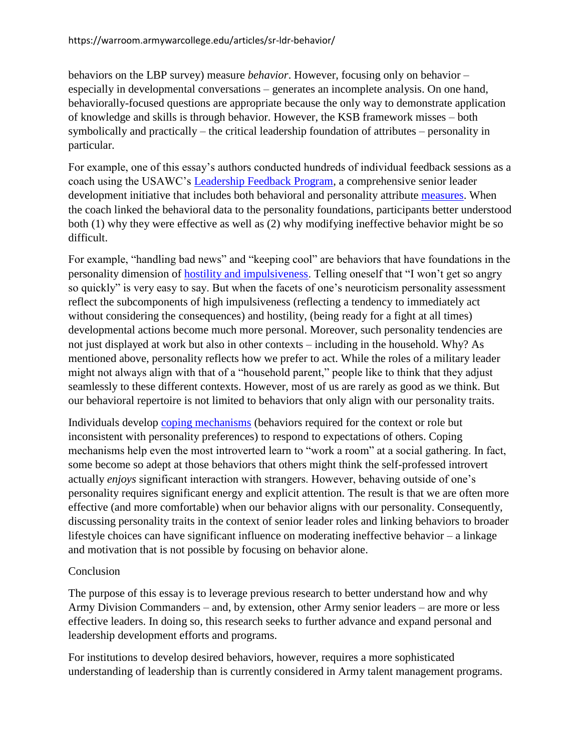behaviors on the LBP survey) measure *behavior*. However, focusing only on behavior – especially in developmental conversations – generates an incomplete analysis. On one hand, behaviorally-focused questions are appropriate because the only way to demonstrate application of knowledge and skills is through behavior. However, the KSB framework misses – both symbolically and practically – the critical leadership foundation of attributes – personality in particular.

For example, one of this essay's authors conducted hundreds of individual feedback sessions as a coach using the USAWC's [Leadership Feedback Program,](https://www.armywarcollege.edu/documents/Academic%20Program%20Guide.pdf) a comprehensive senior leader development initiative that includes both behavioral and personality attribute [measures.](https://psycnet.apa.org/buy/2004-12703-172) When the coach linked the behavioral data to the personality foundations, participants better understood both (1) why they were effective as well as (2) why modifying ineffective behavior might be so difficult.

For example, "handling bad news" and "keeping cool" are behaviors that have foundations in the personality dimension of [hostility and impulsiveness.](https://www.guilford.com/books/Personality-in-Adulthood/McCrae-Costa/9781593852603/reviews) Telling oneself that "I won't get so angry so quickly" is very easy to say. But when the facets of one's neuroticism personality assessment reflect the subcomponents of high impulsiveness (reflecting a tendency to immediately act without considering the consequences) and hostility, (being ready for a fight at all times) developmental actions become much more personal. Moreover, such personality tendencies are not just displayed at work but also in other contexts – including in the household. Why? As mentioned above, personality reflects how we prefer to act. While the roles of a military leader might not always align with that of a "household parent," people like to think that they adjust seamlessly to these different contexts. However, most of us are rarely as good as we think. But our behavioral repertoire is not limited to behaviors that only align with our personality traits.

Individuals develop [coping mechanisms](https://books.google.com/books?hl=en&lr=&id=6deCAgAAQBAJ&oi=fnd&pg=PP1&dq=related:lYEQ4QAwhM8J:scholar.google.com/&ots=dgtAr3HzyB&sig=RVcYcE0xmQxY77AANe3A5Oa5zJ0#v=onepage&q&f=false) (behaviors required for the context or role but inconsistent with personality preferences) to respond to expectations of others. Coping mechanisms help even the most introverted learn to "work a room" at a social gathering. In fact, some become so adept at those behaviors that others might think the self-professed introvert actually *enjoys* significant interaction with strangers. However, behaving outside of one's personality requires significant energy and explicit attention. The result is that we are often more effective (and more comfortable) when our behavior aligns with our personality. Consequently, discussing personality traits in the context of senior leader roles and linking behaviors to broader lifestyle choices can have significant influence on moderating ineffective behavior – a linkage and motivation that is not possible by focusing on behavior alone.

## Conclusion

The purpose of this essay is to leverage previous research to better understand how and why Army Division Commanders – and, by extension, other Army senior leaders – are more or less effective leaders. In doing so, this research seeks to further advance and expand personal and leadership development efforts and programs.

For institutions to develop desired behaviors, however, requires a more sophisticated understanding of leadership than is currently considered in Army talent management programs.